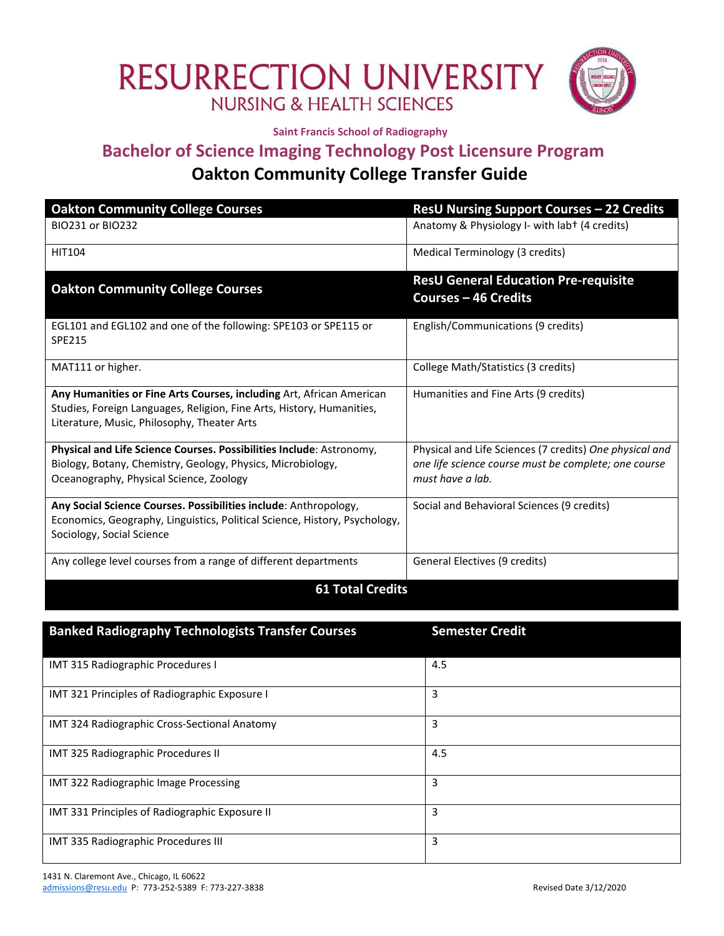## RESURRECTION UNIVERSITY



**Saint Francis School of Radiography**

## **Bachelor of Science Imaging Technology Post Licensure Program Oakton Community College Transfer Guide**

| <b>Oakton Community College Courses</b>                                                                                                                                                      | <b>ResU Nursing Support Courses - 22 Credits</b>                                                                                    |  |
|----------------------------------------------------------------------------------------------------------------------------------------------------------------------------------------------|-------------------------------------------------------------------------------------------------------------------------------------|--|
| BIO231 or BIO232                                                                                                                                                                             | Anatomy & Physiology I- with lab+ (4 credits)                                                                                       |  |
| <b>HIT104</b>                                                                                                                                                                                | Medical Terminology (3 credits)                                                                                                     |  |
| <b>Oakton Community College Courses</b>                                                                                                                                                      | <b>ResU General Education Pre-requisite</b><br><b>Courses - 46 Credits</b>                                                          |  |
| EGL101 and EGL102 and one of the following: SPE103 or SPE115 or<br><b>SPE215</b>                                                                                                             | English/Communications (9 credits)                                                                                                  |  |
| MAT111 or higher.                                                                                                                                                                            | College Math/Statistics (3 credits)                                                                                                 |  |
| Any Humanities or Fine Arts Courses, including Art, African American<br>Studies, Foreign Languages, Religion, Fine Arts, History, Humanities,<br>Literature, Music, Philosophy, Theater Arts | Humanities and Fine Arts (9 credits)                                                                                                |  |
| Physical and Life Science Courses. Possibilities Include: Astronomy,<br>Biology, Botany, Chemistry, Geology, Physics, Microbiology,<br>Oceanography, Physical Science, Zoology               | Physical and Life Sciences (7 credits) One physical and<br>one life science course must be complete; one course<br>must have a lab. |  |
| Any Social Science Courses. Possibilities include: Anthropology,<br>Economics, Geography, Linguistics, Political Science, History, Psychology,<br>Sociology, Social Science                  | Social and Behavioral Sciences (9 credits)                                                                                          |  |
| Any college level courses from a range of different departments                                                                                                                              | General Electives (9 credits)                                                                                                       |  |
| <b>61 Total Credits</b>                                                                                                                                                                      |                                                                                                                                     |  |

| <b>Banked Radiography Technologists Transfer Courses</b> | <b>Semester Credit</b> |
|----------------------------------------------------------|------------------------|
| IMT 315 Radiographic Procedures I                        | 4.5                    |
| IMT 321 Principles of Radiographic Exposure I            | 3                      |
| IMT 324 Radiographic Cross-Sectional Anatomy             | 3                      |
| IMT 325 Radiographic Procedures II                       | 4.5                    |
| IMT 322 Radiographic Image Processing                    | 3                      |
| IMT 331 Principles of Radiographic Exposure II           | 3                      |
| IMT 335 Radiographic Procedures III                      | 3                      |